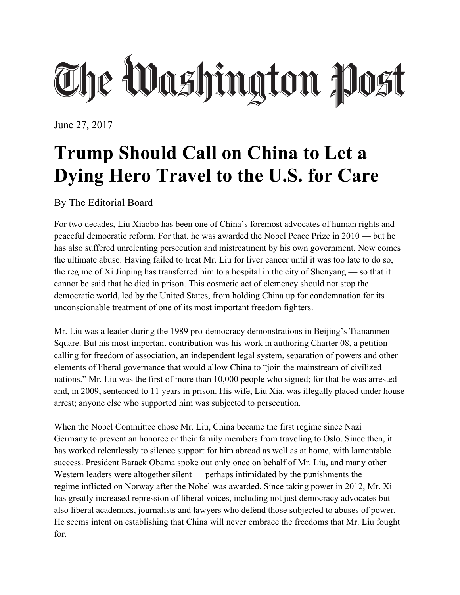## The Washington Post

June 27, 2017

## **Trump Should Call on China to Let a Dying Hero Travel to the U.S. for Care**

By The Editorial Board

For two decades, Liu Xiaobo has been one of China's foremost advocates of human rights and peaceful democratic reform. For that, he was awarded the Nobel Peace Prize in 2010 — but he has also suffered unrelenting persecution and mistreatment by his own government. Now comes the ultimate abuse: Having failed to treat Mr. Liu for liver cancer until it was too late to do so, the regime of Xi Jinping has transferred him to a hospital in the city of Shenyang — so that it cannot be said that he died in prison. This cosmetic act of clemency should not stop the democratic world, led by the United States, from holding China up for condemnation for its unconscionable treatment of one of its most important freedom fighters.

Mr. Liu was a leader during the 1989 pro-democracy demonstrations in Beijing's Tiananmen Square. But his most important contribution was his work in authoring Charter 08, a petition calling for freedom of association, an independent legal system, separation of powers and other elements of liberal governance that would allow China to "join the mainstream of civilized nations." Mr. Liu was the first of more than 10,000 people who signed; for that he was arrested and, in 2009, sentenced to 11 years in prison. His wife, Liu Xia, was illegally placed under house arrest; anyone else who supported him was subjected to persecution.

When the Nobel Committee chose Mr. Liu, China became the first regime since Nazi Germany to prevent an honoree or their family members from traveling to Oslo. Since then, it has worked relentlessly to silence support for him abroad as well as at home, with lamentable success. President Barack Obama spoke out only once on behalf of Mr. Liu, and many other Western leaders were altogether silent — perhaps intimidated by the punishments the regime inflicted on Norway after the Nobel was awarded. Since taking power in 2012, Mr. Xi has greatly increased repression of liberal voices, including not just democracy advocates but also liberal academics, journalists and lawyers who defend those subjected to abuses of power. He seems intent on establishing that China will never embrace the freedoms that Mr. Liu fought for.